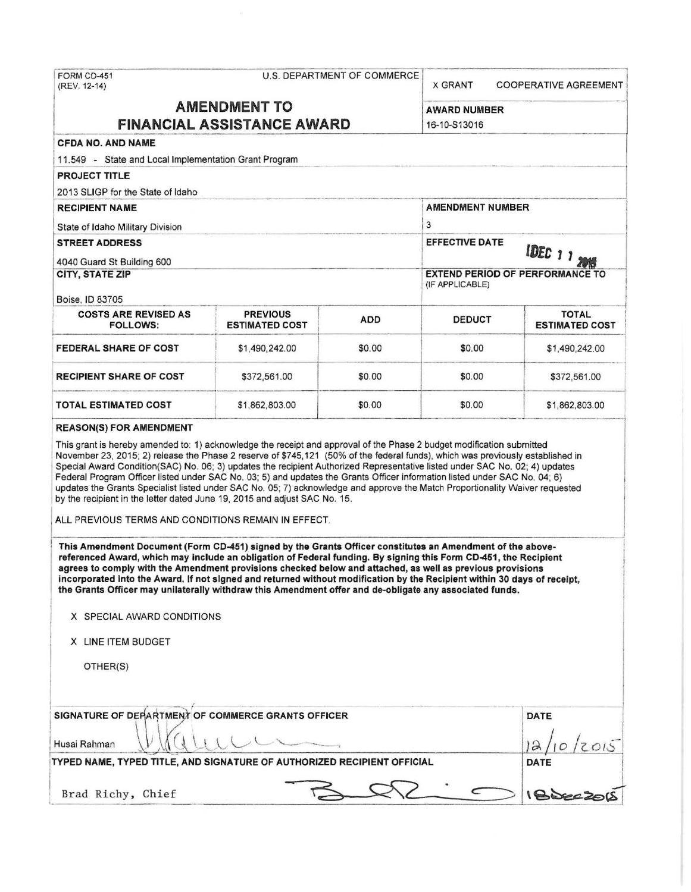| FORM CD-451<br>(REV. 12-14)                                                                                                                                                                                                                                                                                                                                                                                                                                                                                                                                                                                                                                                                                                                                                                                                                                                                                                                                                                                                             |                                          | U.S. DEPARTMENT OF COMMERCE                               | <b>X GRANT</b>                      | <b>COOPERATIVE AGREEMENT</b>          |  |
|-----------------------------------------------------------------------------------------------------------------------------------------------------------------------------------------------------------------------------------------------------------------------------------------------------------------------------------------------------------------------------------------------------------------------------------------------------------------------------------------------------------------------------------------------------------------------------------------------------------------------------------------------------------------------------------------------------------------------------------------------------------------------------------------------------------------------------------------------------------------------------------------------------------------------------------------------------------------------------------------------------------------------------------------|------------------------------------------|-----------------------------------------------------------|-------------------------------------|---------------------------------------|--|
| <b>AMENDMENT TO</b>                                                                                                                                                                                                                                                                                                                                                                                                                                                                                                                                                                                                                                                                                                                                                                                                                                                                                                                                                                                                                     |                                          |                                                           | <b>AWARD NUMBER</b><br>16-10-S13016 |                                       |  |
| <b>FINANCIAL ASSISTANCE AWARD</b>                                                                                                                                                                                                                                                                                                                                                                                                                                                                                                                                                                                                                                                                                                                                                                                                                                                                                                                                                                                                       |                                          |                                                           |                                     |                                       |  |
| <b>CFDA NO. AND NAME</b>                                                                                                                                                                                                                                                                                                                                                                                                                                                                                                                                                                                                                                                                                                                                                                                                                                                                                                                                                                                                                |                                          |                                                           |                                     |                                       |  |
| 11.549 - State and Local Implementation Grant Program                                                                                                                                                                                                                                                                                                                                                                                                                                                                                                                                                                                                                                                                                                                                                                                                                                                                                                                                                                                   |                                          |                                                           |                                     |                                       |  |
| <b>PROJECT TITLE</b>                                                                                                                                                                                                                                                                                                                                                                                                                                                                                                                                                                                                                                                                                                                                                                                                                                                                                                                                                                                                                    |                                          |                                                           |                                     |                                       |  |
| 2013 SLIGP for the State of Idaho                                                                                                                                                                                                                                                                                                                                                                                                                                                                                                                                                                                                                                                                                                                                                                                                                                                                                                                                                                                                       |                                          |                                                           |                                     |                                       |  |
| <b>RECIPIENT NAME</b><br>State of Idaho Military Division                                                                                                                                                                                                                                                                                                                                                                                                                                                                                                                                                                                                                                                                                                                                                                                                                                                                                                                                                                               |                                          |                                                           | <b>AMENDMENT NUMBER</b>             |                                       |  |
|                                                                                                                                                                                                                                                                                                                                                                                                                                                                                                                                                                                                                                                                                                                                                                                                                                                                                                                                                                                                                                         |                                          |                                                           | 3                                   |                                       |  |
| <b>STREET ADDRESS</b>                                                                                                                                                                                                                                                                                                                                                                                                                                                                                                                                                                                                                                                                                                                                                                                                                                                                                                                                                                                                                   |                                          | <b>EFFECTIVE DATE</b><br>IDEC 1 1 2015                    |                                     |                                       |  |
| 4040 Guard St Building 600                                                                                                                                                                                                                                                                                                                                                                                                                                                                                                                                                                                                                                                                                                                                                                                                                                                                                                                                                                                                              |                                          |                                                           |                                     |                                       |  |
| <b>CITY, STATE ZIP</b>                                                                                                                                                                                                                                                                                                                                                                                                                                                                                                                                                                                                                                                                                                                                                                                                                                                                                                                                                                                                                  |                                          | <b>EXTEND PERIOD OF PERFORMANCE TO</b><br>(IF APPLICABLE) |                                     |                                       |  |
| Boise, ID 83705                                                                                                                                                                                                                                                                                                                                                                                                                                                                                                                                                                                                                                                                                                                                                                                                                                                                                                                                                                                                                         |                                          |                                                           |                                     |                                       |  |
| <b>COSTS ARE REVISED AS</b><br><b>FOLLOWS:</b>                                                                                                                                                                                                                                                                                                                                                                                                                                                                                                                                                                                                                                                                                                                                                                                                                                                                                                                                                                                          | <b>PREVIOUS</b><br><b>ESTIMATED COST</b> | <b>ADD</b>                                                | <b>DEDUCT</b>                       | <b>TOTAL</b><br><b>ESTIMATED COST</b> |  |
| <b>FEDERAL SHARE OF COST</b>                                                                                                                                                                                                                                                                                                                                                                                                                                                                                                                                                                                                                                                                                                                                                                                                                                                                                                                                                                                                            | \$1,490,242.00                           | \$0.00                                                    | \$0.00                              | \$1,490,242.00                        |  |
| <b>RECIPIENT SHARE OF COST</b>                                                                                                                                                                                                                                                                                                                                                                                                                                                                                                                                                                                                                                                                                                                                                                                                                                                                                                                                                                                                          | \$372,561.00                             | \$0.00                                                    | \$0.00                              | \$372,561.00                          |  |
| <b>TOTAL ESTIMATED COST</b>                                                                                                                                                                                                                                                                                                                                                                                                                                                                                                                                                                                                                                                                                                                                                                                                                                                                                                                                                                                                             | \$1,862,803.00                           | \$0.00                                                    | \$0.00                              | \$1,862,803.00                        |  |
| Federal Program Officer listed under SAC No. 03; 5) and updates the Grants Officer information listed under SAC No. 04; 6)<br>updates the Grants Specialist listed under SAC No. 05; 7) acknowledge and approve the Match Proportionality Waiver requested<br>by the recipient in the letter dated June 19, 2015 and adjust SAC No. 15.<br>ALL PREVIOUS TERMS AND CONDITIONS REMAIN IN EFFECT.<br>This Amendment Document (Form CD-451) signed by the Grants Officer constitutes an Amendment of the above-<br>referenced Award, which may include an obligation of Federal funding. By signing this Form CD-451, the Recipient<br>agrees to comply with the Amendment provisions checked below and attached, as well as previous provisions<br>incorporated into the Award, If not signed and returned without modification by the Recipient within 30 days of receipt,<br>the Grants Officer may unilaterally withdraw this Amendment offer and de-obligate any associated funds.<br>X SPECIAL AWARD CONDITIONS<br>X LINE ITEM BUDGET |                                          |                                                           |                                     |                                       |  |
| OTHER(S)<br>SIGNATURE OF DEFARTMENT OF COMMERCE GRANTS OFFICER                                                                                                                                                                                                                                                                                                                                                                                                                                                                                                                                                                                                                                                                                                                                                                                                                                                                                                                                                                          |                                          |                                                           |                                     |                                       |  |
|                                                                                                                                                                                                                                                                                                                                                                                                                                                                                                                                                                                                                                                                                                                                                                                                                                                                                                                                                                                                                                         | <b>DATE</b>                              |                                                           |                                     |                                       |  |
| Husai Rahman                                                                                                                                                                                                                                                                                                                                                                                                                                                                                                                                                                                                                                                                                                                                                                                                                                                                                                                                                                                                                            |                                          |                                                           |                                     |                                       |  |
| TYPED NAME, TYPED TITLE, AND SIGNATURE OF AUTHORIZED RECIPIENT OFFICIAL                                                                                                                                                                                                                                                                                                                                                                                                                                                                                                                                                                                                                                                                                                                                                                                                                                                                                                                                                                 |                                          |                                                           |                                     | <b>DATE</b>                           |  |
| Brad Richy, Chief                                                                                                                                                                                                                                                                                                                                                                                                                                                                                                                                                                                                                                                                                                                                                                                                                                                                                                                                                                                                                       |                                          |                                                           |                                     | 1850                                  |  |
|                                                                                                                                                                                                                                                                                                                                                                                                                                                                                                                                                                                                                                                                                                                                                                                                                                                                                                                                                                                                                                         |                                          |                                                           |                                     |                                       |  |